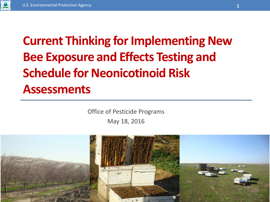

## **Current Thinking for Implementing New Bee Exposure and Effects Testing and Schedule for Neonicotinoid Risk Assessments**

Office of Pesticide Programs May 18, 2016

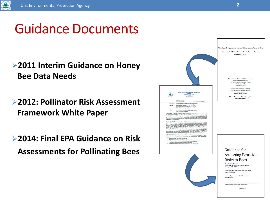

## Guidance Documents

### **2011 Interim Guidance on Honey Bee Data Needs**

**2012: Pollinator Risk Assessment Framework White Paper**

**2014: Final EPA Guidance on Risk Assessments for Pollinating Bees**

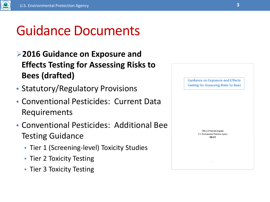

# Guidance Documents

- **2016 Guidance on Exposure and Effects Testing for Assessing Risks to Bees (drafted)**
- Statutory/Regulatory Provisions
- Conventional Pesticides: Current Data Requirements
- Conventional Pesticides: Additional Bee Testing Guidance
	- Tier 1 (Screening-level) Toxicity Studies
	- Tier 2 Toxicity Testing
	- Tier 3 Toxicity Testing

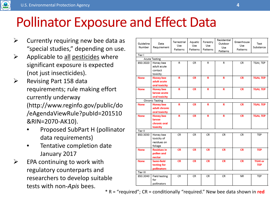

# Pollinator Exposure and Effect Data

- $\triangleright$  Currently requiring new bee data as "special studies," depending on use.
- $\triangleright$  Applicable to all pesticides where significant exposure is expected (not just insecticides).
- $\triangleright$  Revising Part 158 data requirements; rule making effort currently underway (http://www.reginfo.gov/public/do /eAgendaViewRule?pubId=201510 &RIN=2070-AK10).
	- Proposed SubPart H (pollinator data requirements)
	- Tentative completion date January 2017
- $\triangleright$  EPA continuing to work with regulatory counterparts and researchers to develop suitable tests with non-*Apis* bees.

| Guideline<br>Number | Data<br>Requirement                                    | Terrestrial<br>Use<br>Patterns | Aquatic<br>Use<br>Patterns | Forestry<br>Use<br>Patterns | Residential<br>Outdoor<br>Use<br>Patterns | Greenhouse<br>Use<br>Patterns | Test<br>Substance            |
|---------------------|--------------------------------------------------------|--------------------------------|----------------------------|-----------------------------|-------------------------------------------|-------------------------------|------------------------------|
| Tier I              |                                                        |                                |                            |                             |                                           |                               |                              |
|                     | <b>Acute Testing</b>                                   |                                |                            |                             |                                           |                               |                              |
| 850.3020            | Honey bee<br>adult acute<br>contact<br>toxicity        | R.                             | CR                         | R.                          | R                                         | CR                            | TGAI, TEP                    |
| <b>None</b>         | <b>Honey bee</b><br>adult acute<br>oral toxicity       | R                              | <b>CR</b>                  | R                           | R                                         | <b>CR</b>                     | <b>TGAI, TEP</b>             |
| <b>None</b>         | <b>Honey bee</b><br>larvae acute<br>oral toxicity      | R                              | <b>CR</b>                  | R                           | R                                         | <b>CR</b>                     | <b>TGAI, TEP</b>             |
|                     | <b>Chronic Testing</b>                                 |                                |                            |                             |                                           |                               |                              |
| <b>None</b>         | <b>Honey bee</b><br>adult chronic<br>oral toxicity     | R                              | <b>CR</b>                  | R                           | R                                         | <b>CR</b>                     | <b>TGAI, TEP</b>             |
| <b>None</b>         | <b>Honey bee</b><br>larvae<br>chronic oral<br>toxicity | R                              | <b>CR</b>                  | R                           | R                                         | <b>CR</b>                     | <b>TGAI, TEP</b>             |
| Tier II             |                                                        |                                |                            |                             |                                           |                               |                              |
| 850.3030            | Honey bee<br>toxicity of<br>residues on<br>foliage     | CR.                            | CR                         | CR                          | CR.                                       | CR.                           | TEP                          |
| <b>None</b>         | <b>Residues in</b><br>pollen and<br>nectar             | <b>CR</b>                      | <b>CR</b>                  | <b>CR</b>                   | <b>CR</b>                                 | <b>CR</b>                     | <b>TEP</b>                   |
| <b>None</b>         | Semi-field<br>testing for<br>pollinators               | <b>CR</b>                      | <b>CR</b>                  | <b>CR</b>                   | <b>CR</b>                                 | <b>CR</b>                     | <b>TGAI or</b><br><b>TEP</b> |
| Tier III            |                                                        |                                |                            |                             |                                           |                               |                              |
| 850.3040            | <b>Field testing</b><br>for<br>pollinators             | CR.                            | CR.                        | CR                          | CR.                                       | NR.                           | TEP                          |

\* R = "required"; CR = conditionally "required." New bee data shown in **red**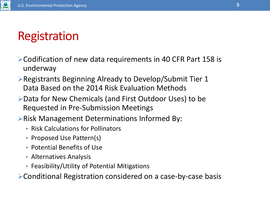## Registration

- Codification of new data requirements in 40 CFR Part 158 is underway
- Registrants Beginning Already to Develop/Submit Tier 1 Data Based on the 2014 Risk Evaluation Methods
- Data for New Chemicals (and First Outdoor Uses) to be Requested in Pre-Submission Meetings
- **Example 2 Propolent Seterminations Informed By:** 
	- Risk Calculations for Pollinators
	- Proposed Use Pattern(s)
	- Potential Benefits of Use
	- Alternatives Analysis
	- Feasibility/Utility of Potential Mitigations

Conditional Registration considered on a case-by-case basis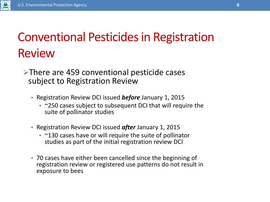

## Conventional Pesticides in Registration Review

### There are 459 conventional pesticide cases subject to Registration Review

- Registration Review DCI issued *before* January 1, 2015
	- ~250 cases subject to subsequent DCI that will require the suite of pollinator studies
- Registration Review DCI issued *after* January 1, 2015
	- ~130 cases have or will require the suite of pollinator studies as part of the initial registration review DCI
- 70 cases have either been cancelled since the beginning of registration review or registered use patterns do not result in exposure to bees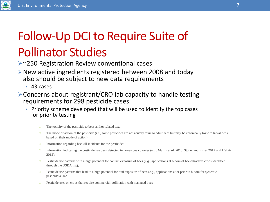# Follow-Up DCI to Require Suite of Pollinator Studies

- **► ~250 Registration Review conventional cases**
- New active ingredients registered between 2008 and today also should be subject to new data requirements
	- 43 cases
- Concerns about registrant/CRO lab capacity to handle testing requirements for 298 pesticide cases
	- Priority scheme developed that will be used to identify the top cases for priority testing
		- $\circ$  The toxicity of the pesticide to bees and/or related taxa;
		- The mode of action of the pesticide (*i.e.,* some pesticides are not acutely toxic to adult bees but may be chronically toxic to larval bees based on their mode of action);
		- $\circ$  Information regarding bee kill incidents for the pesticide;
		- Information indicating the pesticide has been detected in honey bee colonies (*e.g*., Mullin *et al*. 2010, Stoner and Eitzer 2012 and USDA 2012);
		- Pesticide use patterns with a high potential for contact exposure of bees (*e.g.,* applications at bloom of bee-attractive crops identified through the USDA list);
		- Pesticide use patterns that lead to a high potential for oral exposure of bees (*e.g.,* applications at or prior to bloom for systemic pesticides); and
		- $\circ$  Pesticide uses on crops that require commercial pollination with managed bees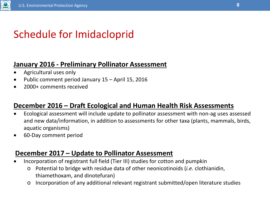

# Schedule for Imidacloprid

### **January 2016 - Preliminary Pollinator Assessment**

- Agricultural uses only
- Public comment period January 15 April 15, 2016
- 2000+ comments received

### **December 2016 – Draft Ecological and Human Health Risk Assessments**

- Ecological assessment will include update to pollinator assessment with non-ag uses assessed and new data/information, in addition to assessments for other taxa (plants, mammals, birds, aquatic organisms)
- 60-Day comment period

### **December 2017 – Update to Pollinator Assessment**

- Incorporation of registrant full field (Tier III) studies for cotton and pumpkin
	- o Potential to bridge with residue data of other neonicotinoids (*i.e.* clothianidin, thiamethoxam, and dinotefuran)
	- o Incorporation of any additional relevant registrant submitted/open literature studies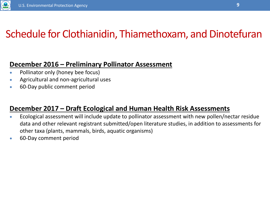

## Schedule for Clothianidin, Thiamethoxam, and Dinotefuran

### **December 2016 – Preliminary Pollinator Assessment**

- Pollinator only (honey bee focus)
- Agricultural and non-agricultural uses
- 60-Day public comment period

### **December 2017 – Draft Ecological and Human Health Risk Assessments**

- Ecological assessment will include update to pollinator assessment with new pollen/nectar residue data and other relevant registrant submitted/open literature studies, in addition to assessments for other taxa (plants, mammals, birds, aquatic organisms)
- 60-Day comment period